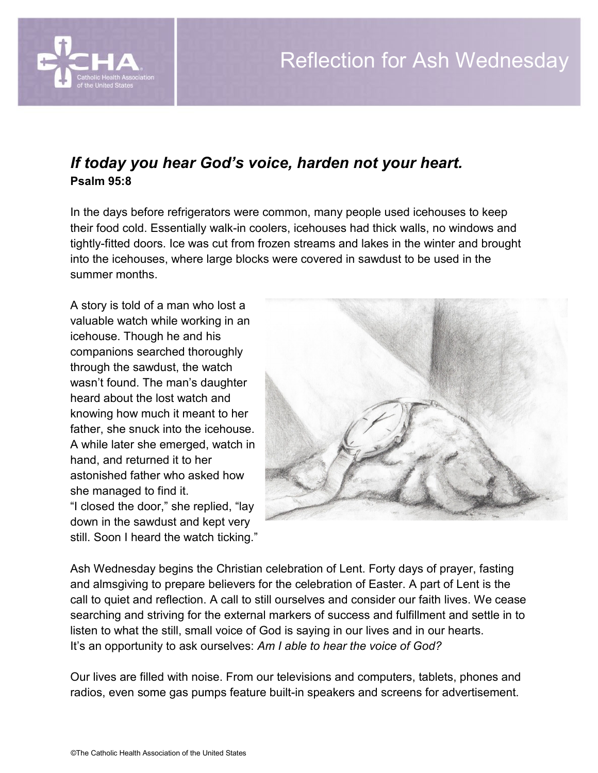

## *If today you hear God's voice, harden not your heart.* **Psalm 95:8**

In the days before refrigerators were common, many people used icehouses to keep their food cold. Essentially walk-in coolers, icehouses had thick walls, no windows and tightly-fitted doors. Ice was cut from frozen streams and lakes in the winter and brought into the icehouses, where large blocks were covered in sawdust to be used in the summer months.

A story is told of a man who lost a valuable watch while working in an icehouse. Though he and his companions searched thoroughly through the sawdust, the watch wasn't found. The man's daughter heard about the lost watch and knowing how much it meant to her father, she snuck into the icehouse. A while later she emerged, watch in hand, and returned it to her astonished father who asked how she managed to find it. "I closed the door," she replied, "lay down in the sawdust and kept very still. Soon I heard the watch ticking."



Ash Wednesday begins the Christian celebration of Lent. Forty days of prayer, fasting and almsgiving to prepare believers for the celebration of Easter. A part of Lent is the call to quiet and reflection. A call to still ourselves and consider our faith lives. We cease searching and striving for the external markers of success and fulfillment and settle in to listen to what the still, small voice of God is saying in our lives and in our hearts. It's an opportunity to ask ourselves: *Am I able to hear the voice of God?* 

Our lives are filled with noise. From our televisions and computers, tablets, phones and radios, even some gas pumps feature built-in speakers and screens for advertisement.